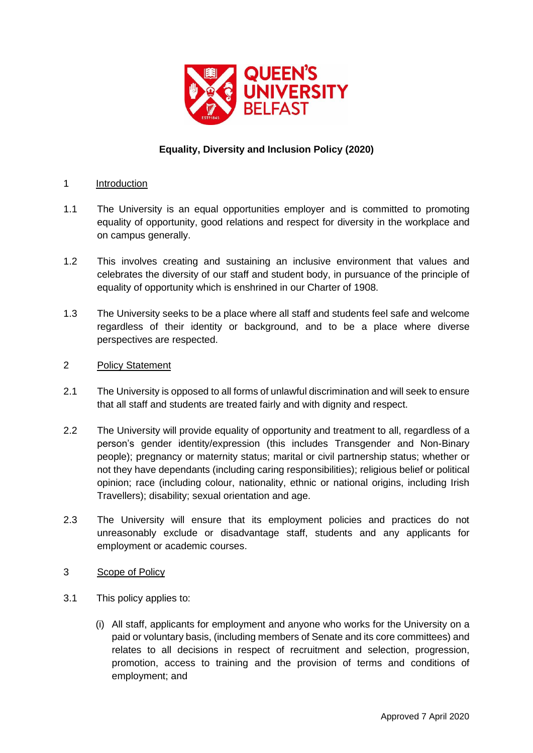

# **Equality, Diversity and Inclusion Policy (2020)**

### 1 Introduction

- 1.1 The University is an equal opportunities employer and is committed to promoting equality of opportunity, good relations and respect for diversity in the workplace and on campus generally.
- 1.2 This involves creating and sustaining an inclusive environment that values and celebrates the diversity of our staff and student body, in pursuance of the principle of equality of opportunity which is enshrined in our Charter of 1908.
- 1.3 The University seeks to be a place where all staff and students feel safe and welcome regardless of their identity or background, and to be a place where diverse perspectives are respected.

### 2 Policy Statement

- 2.1 The University is opposed to all forms of unlawful discrimination and will seek to ensure that all staff and students are treated fairly and with dignity and respect.
- 2.2 The University will provide equality of opportunity and treatment to all, regardless of a person's gender identity/expression (this includes Transgender and Non-Binary people); pregnancy or maternity status; marital or civil partnership status; whether or not they have dependants (including caring responsibilities); religious belief or political opinion; race (including colour, nationality, ethnic or national origins, including Irish Travellers); disability; sexual orientation and age.
- 2.3 The University will ensure that its employment policies and practices do not unreasonably exclude or disadvantage staff, students and any applicants for employment or academic courses.
- 3 Scope of Policy
- 3.1 This policy applies to:
	- (i) All staff, applicants for employment and anyone who works for the University on a paid or voluntary basis, (including members of Senate and its core committees) and relates to all decisions in respect of recruitment and selection, progression, promotion, access to training and the provision of terms and conditions of employment; and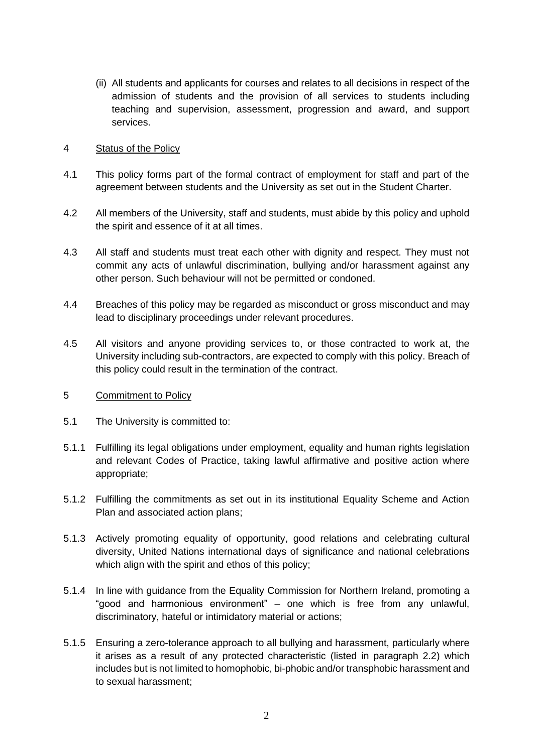(ii) All students and applicants for courses and relates to all decisions in respect of the admission of students and the provision of all services to students including teaching and supervision, assessment, progression and award, and support services.

### 4 Status of the Policy

- 4.1 This policy forms part of the formal contract of employment for staff and part of the agreement between students and the University as set out in the Student Charter.
- 4.2 All members of the University, staff and students, must abide by this policy and uphold the spirit and essence of it at all times.
- 4.3 All staff and students must treat each other with dignity and respect. They must not commit any acts of unlawful discrimination, bullying and/or harassment against any other person. Such behaviour will not be permitted or condoned.
- 4.4 Breaches of this policy may be regarded as misconduct or gross misconduct and may lead to disciplinary proceedings under relevant procedures.
- 4.5 All visitors and anyone providing services to, or those contracted to work at, the University including sub-contractors, are expected to comply with this policy. Breach of this policy could result in the termination of the contract.
- 5 Commitment to Policy
- 5.1 The University is committed to:
- 5.1.1 Fulfilling its legal obligations under employment, equality and human rights legislation and relevant Codes of Practice, taking lawful affirmative and positive action where appropriate;
- 5.1.2 Fulfilling the commitments as set out in its institutional Equality Scheme and Action Plan and associated action plans;
- 5.1.3 Actively promoting equality of opportunity, good relations and celebrating cultural diversity, United Nations international days of significance and national celebrations which align with the spirit and ethos of this policy;
- 5.1.4 In line with guidance from the Equality Commission for Northern Ireland, promoting a "good and harmonious environment" – one which is free from any unlawful, discriminatory, hateful or intimidatory material or actions;
- 5.1.5 Ensuring a zero-tolerance approach to all bullying and harassment, particularly where it arises as a result of any protected characteristic (listed in paragraph 2.2) which includes but is not limited to homophobic, bi-phobic and/or transphobic harassment and to sexual harassment;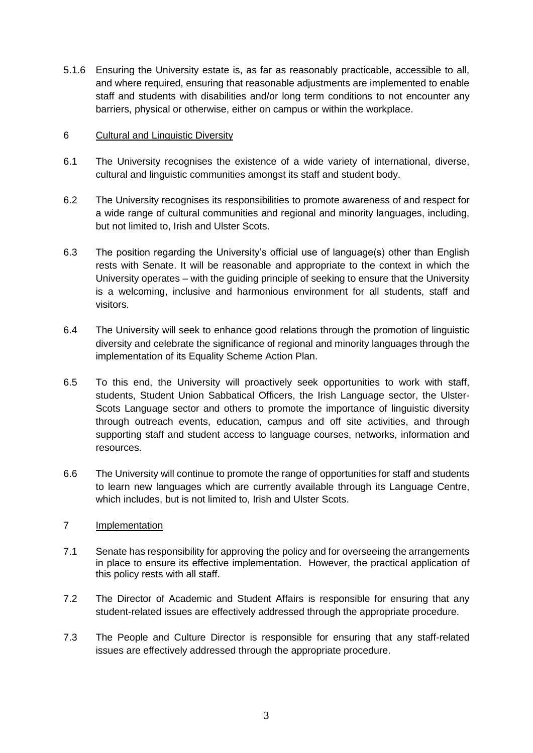5.1.6 Ensuring the University estate is, as far as reasonably practicable, accessible to all, and where required, ensuring that reasonable adjustments are implemented to enable staff and students with disabilities and/or long term conditions to not encounter any barriers, physical or otherwise, either on campus or within the workplace.

### 6 Cultural and Linguistic Diversity

- 6.1 The University recognises the existence of a wide variety of international, diverse, cultural and linguistic communities amongst its staff and student body.
- 6.2 The University recognises its responsibilities to promote awareness of and respect for a wide range of cultural communities and regional and minority languages, including, but not limited to, Irish and Ulster Scots.
- 6.3 The position regarding the University's official use of language(s) other than English rests with Senate. It will be reasonable and appropriate to the context in which the University operates – with the guiding principle of seeking to ensure that the University is a welcoming, inclusive and harmonious environment for all students, staff and visitors.
- 6.4 The University will seek to enhance good relations through the promotion of linguistic diversity and celebrate the significance of regional and minority languages through the implementation of its Equality Scheme Action Plan.
- 6.5 To this end, the University will proactively seek opportunities to work with staff, students, Student Union Sabbatical Officers, the Irish Language sector, the Ulster-Scots Language sector and others to promote the importance of linguistic diversity through outreach events, education, campus and off site activities, and through supporting staff and student access to language courses, networks, information and resources.
- 6.6 The University will continue to promote the range of opportunities for staff and students to learn new languages which are currently available through its Language Centre, which includes, but is not limited to, Irish and Ulster Scots.

### 7 Implementation

- 7.1 Senate has responsibility for approving the policy and for overseeing the arrangements in place to ensure its effective implementation. However, the practical application of this policy rests with all staff.
- 7.2 The Director of Academic and Student Affairs is responsible for ensuring that any student-related issues are effectively addressed through the appropriate procedure.
- 7.3 The People and Culture Director is responsible for ensuring that any staff-related issues are effectively addressed through the appropriate procedure.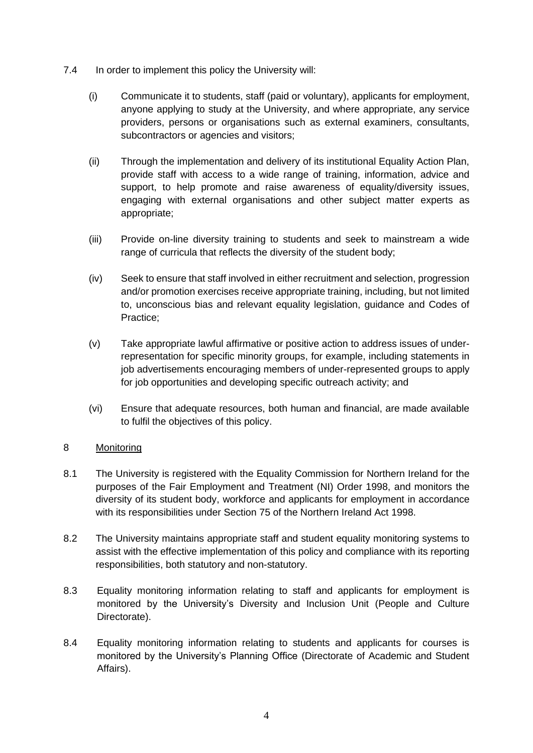- 7.4 In order to implement this policy the University will:
	- (i) Communicate it to students, staff (paid or voluntary), applicants for employment, anyone applying to study at the University, and where appropriate, any service providers, persons or organisations such as external examiners, consultants, subcontractors or agencies and visitors;
	- (ii) Through the implementation and delivery of its institutional Equality Action Plan, provide staff with access to a wide range of training, information, advice and support, to help promote and raise awareness of equality/diversity issues, engaging with external organisations and other subject matter experts as appropriate;
	- (iii) Provide on-line diversity training to students and seek to mainstream a wide range of curricula that reflects the diversity of the student body;
	- (iv) Seek to ensure that staff involved in either recruitment and selection, progression and/or promotion exercises receive appropriate training, including, but not limited to, unconscious bias and relevant equality legislation, guidance and Codes of Practice;
	- (v) Take appropriate lawful affirmative or positive action to address issues of underrepresentation for specific minority groups, for example, including statements in job advertisements encouraging members of under-represented groups to apply for job opportunities and developing specific outreach activity; and
	- (vi) Ensure that adequate resources, both human and financial, are made available to fulfil the objectives of this policy.

## 8 Monitoring

- 8.1 The University is registered with the Equality Commission for Northern Ireland for the purposes of the Fair Employment and Treatment (NI) Order 1998, and monitors the diversity of its student body, workforce and applicants for employment in accordance with its responsibilities under Section 75 of the Northern Ireland Act 1998.
- 8.2 The University maintains appropriate staff and student equality monitoring systems to assist with the effective implementation of this policy and compliance with its reporting responsibilities, both statutory and non-statutory.
- 8.3 Equality monitoring information relating to staff and applicants for employment is monitored by the University's Diversity and Inclusion Unit (People and Culture Directorate).
- 8.4 Equality monitoring information relating to students and applicants for courses is monitored by the University's Planning Office (Directorate of Academic and Student Affairs).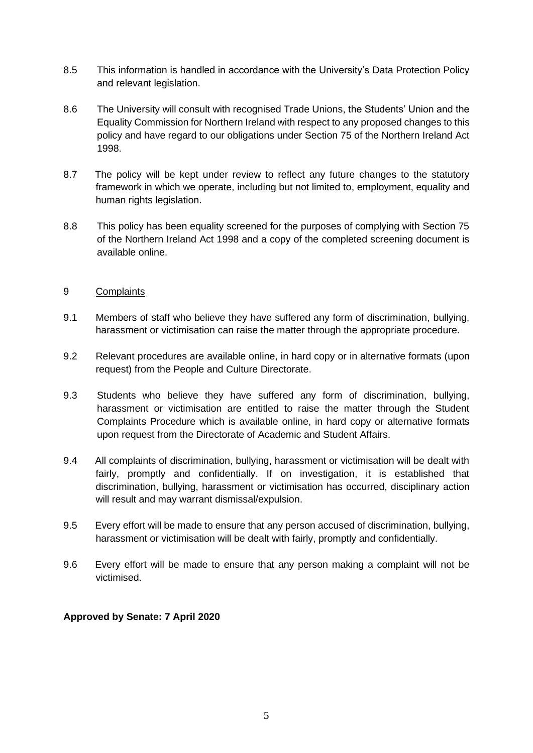- 8.5 This information is handled in accordance with the University's Data Protection Policy and relevant legislation.
- 8.6 The University will consult with recognised Trade Unions, the Students' Union and the Equality Commission for Northern Ireland with respect to any proposed changes to this policy and have regard to our obligations under Section 75 of the Northern Ireland Act 1998.
- 8.7 The policy will be kept under review to reflect any future changes to the statutory framework in which we operate, including but not limited to, employment, equality and human rights legislation.
- 8.8 This policy has been equality screened for the purposes of complying with Section 75 of the Northern Ireland Act 1998 and a copy of the completed screening document is available online.

### 9 Complaints

- 9.1 Members of staff who believe they have suffered any form of discrimination, bullying, harassment or victimisation can raise the matter through the appropriate procedure.
- 9.2 Relevant procedures are available online, in hard copy or in alternative formats (upon request) from the People and Culture Directorate.
- 9.3 Students who believe they have suffered any form of discrimination, bullying, harassment or victimisation are entitled to raise the matter through the Student Complaints Procedure which is available online, in hard copy or alternative formats upon request from the Directorate of Academic and Student Affairs.
- 9.4 All complaints of discrimination, bullying, harassment or victimisation will be dealt with fairly, promptly and confidentially. If on investigation, it is established that discrimination, bullying, harassment or victimisation has occurred, disciplinary action will result and may warrant dismissal/expulsion.
- 9.5 Every effort will be made to ensure that any person accused of discrimination, bullying, harassment or victimisation will be dealt with fairly, promptly and confidentially.
- 9.6 Every effort will be made to ensure that any person making a complaint will not be victimised.

### **Approved by Senate: 7 April 2020**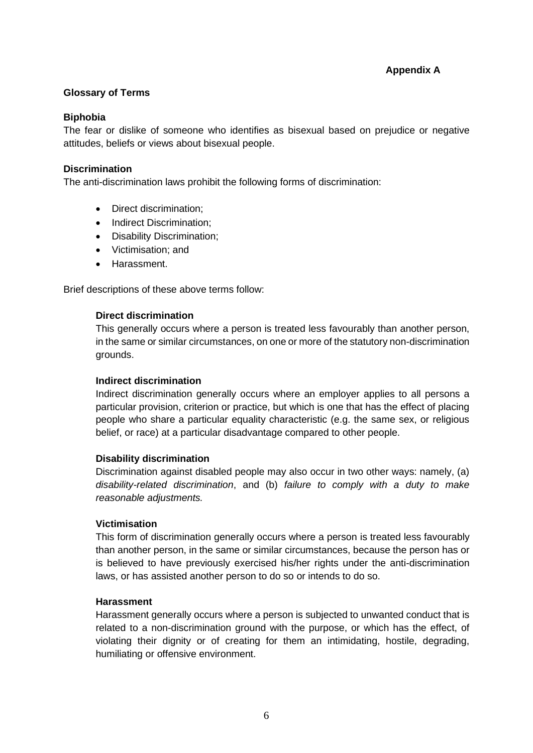## **Appendix A**

### **Glossary of Terms**

### **Biphobia**

The fear or dislike of someone who identifies as bisexual based on prejudice or negative attitudes, beliefs or views about bisexual people.

### **Discrimination**

The anti-discrimination laws prohibit the following forms of discrimination:

- Direct discrimination:
- Indirect Discrimination:
- Disability Discrimination;
- Victimisation; and
- Harassment.

Brief descriptions of these above terms follow:

### **Direct discrimination**

This generally occurs where a person is treated less favourably than another person, in the same or similar circumstances, on one or more of the statutory non-discrimination grounds.

### **Indirect discrimination**

Indirect discrimination generally occurs where an employer applies to all persons a particular provision, criterion or practice, but which is one that has the effect of placing people who share a particular equality characteristic (e.g. the same sex, or religious belief, or race) at a particular disadvantage compared to other people.

### **Disability discrimination**

Discrimination against disabled people may also occur in two other ways: namely, (a) *disability-related discrimination*, and (b) *failure to comply with a duty to make reasonable adjustments.*

### **Victimisation**

This form of discrimination generally occurs where a person is treated less favourably than another person, in the same or similar circumstances, because the person has or is believed to have previously exercised his/her rights under the anti-discrimination laws, or has assisted another person to do so or intends to do so.

### **Harassment**

Harassment generally occurs where a person is subjected to unwanted conduct that is related to a non-discrimination ground with the purpose, or which has the effect, of violating their dignity or of creating for them an intimidating, hostile, degrading, humiliating or offensive environment.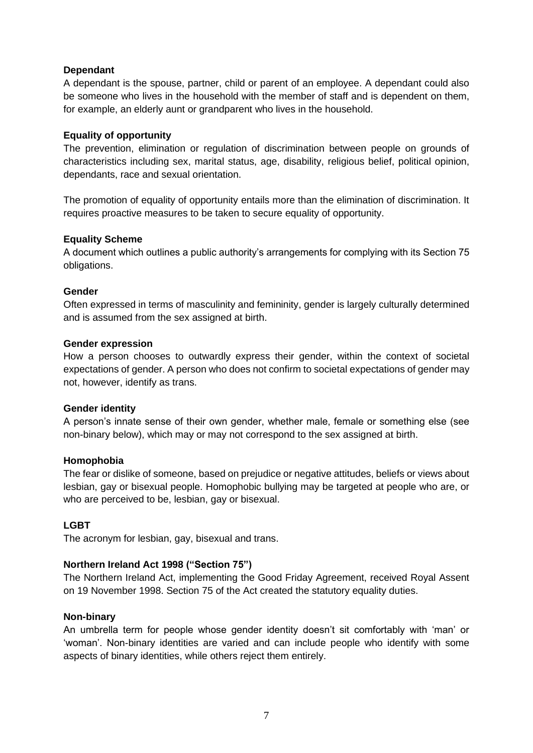### **Dependant**

A dependant is the spouse, partner, child or parent of an employee. A dependant could also be someone who lives in the household with the member of staff and is dependent on them, for example, an elderly aunt or grandparent who lives in the household.

### **Equality of opportunity**

The prevention, elimination or regulation of discrimination between people on grounds of characteristics including sex, marital status, age, disability, religious belief, political opinion, dependants, race and sexual orientation.

The promotion of equality of opportunity entails more than the elimination of discrimination. It requires proactive measures to be taken to secure equality of opportunity.

### **Equality Scheme**

A document which outlines a public authority's arrangements for complying with its Section 75 obligations.

### **Gender**

Often expressed in terms of masculinity and femininity, gender is largely culturally determined and is assumed from the sex assigned at birth.

### **Gender expression**

How a person chooses to outwardly express their gender, within the context of societal expectations of gender. A person who does not confirm to societal expectations of gender may not, however, identify as trans.

### **Gender identity**

A person's innate sense of their own gender, whether male, female or something else (see non-binary below), which may or may not correspond to the sex assigned at birth.

### **Homophobia**

The fear or dislike of someone, based on prejudice or negative attitudes, beliefs or views about lesbian, gay or bisexual people. Homophobic bullying may be targeted at people who are, or who are perceived to be, lesbian, gay or bisexual.

### **LGBT**

The acronym for lesbian, gay, bisexual and trans.

## **Northern Ireland Act 1998 ("Section 75")**

The Northern Ireland Act, implementing the Good Friday Agreement, received Royal Assent on 19 November 1998. Section 75 of the Act created the statutory equality duties.

### **Non-binary**

An umbrella term for people whose gender identity doesn't sit comfortably with 'man' or 'woman'. Non-binary identities are varied and can include people who identify with some aspects of binary identities, while others reject them entirely.